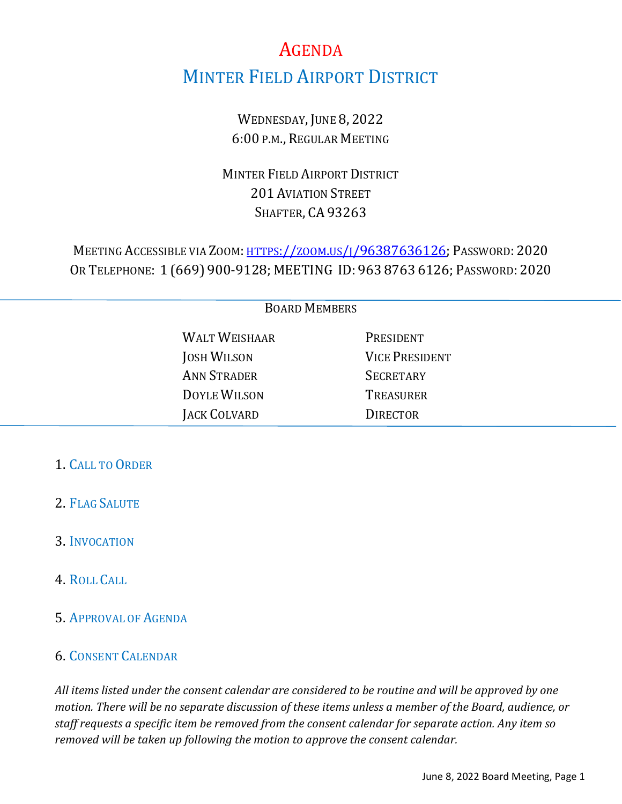# AGENDA MINTER FIELD AIRPORT DISTRICT

WEDNESDAY, JUNE 8, 2022 6:00 P.M., REGULAR MEETING

MINTER FIELD AIRPORT DISTRICT 201 AVIATION STREET SHAFTER, CA 93263

MEETING ACCESSIBLE VIA ZOOM: [HTTPS://ZOOM.US/J/96387636126;](https://zoom.us/j/96387636126?pwd=M0E1YkoyOGxxWXI5VzNUR2g3bmxRZz09) PASSWORD: 2020 OR TELEPHONE: 1 (669) 900-9128; MEETING ID: 963 8763 6126; PASSWORD: 2020

| <b>BOARD MEMBERS</b> |                      |                       |
|----------------------|----------------------|-----------------------|
|                      | <b>WALT WEISHAAR</b> | PRESIDENT             |
|                      | <b>JOSH WILSON</b>   | <b>VICE PRESIDENT</b> |
|                      | <b>ANN STRADER</b>   | <b>SECRETARY</b>      |
|                      | <b>DOYLE WILSON</b>  | <b>TREASURER</b>      |
|                      | JACK COLVARD         | <b>DIRECTOR</b>       |
|                      |                      |                       |

#### 1. CALL TO ORDER

- 2. FLAG SALUTE
- 3. INVOCATION
- 4. ROLL CALL
- 5. APPROVAL OF AGENDA

#### 6. CONSENT CALENDAR

*All items listed under the consent calendar are considered to be routine and will be approved by one motion. There will be no separate discussion of these items unless a member of the Board, audience, or staff requests a specific item be removed from the consent calendar for separate action. Any item so removed will be taken up following the motion to approve the consent calendar.*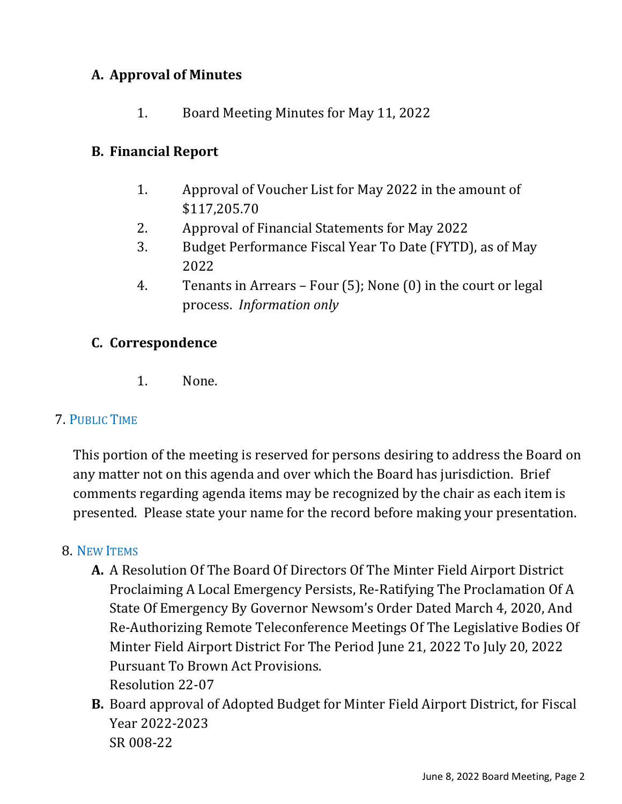# **A. Approval of Minutes**

1. Board Meeting Minutes for May 11, 2022

## **B. Financial Report**

- 1. Approval of Voucher List for May 2022 in the amount of \$117,205.70
- 2. Approval of Financial Statements for May 2022
- 3. Budget Performance Fiscal Year To Date (FYTD), as of May 2022
- 4. Tenants in Arrears Four (5); None (0) in the court or legal process. *Information only*

# **C. Correspondence**

1. None.

### 7. PUBLIC TIME

This portion of the meeting is reserved for persons desiring to address the Board on any matter not on this agenda and over which the Board has jurisdiction. Brief comments regarding agenda items may be recognized by the chair as each item is presented. Please state your name for the record before making your presentation.

### 8. NEW ITEMS

- **A.** A Resolution Of The Board Of Directors Of The Minter Field Airport District Proclaiming A Local Emergency Persists, Re-Ratifying The Proclamation Of A State Of Emergency By Governor Newsom's Order Dated March 4, 2020, And Re-Authorizing Remote Teleconference Meetings Of The Legislative Bodies Of Minter Field Airport District For The Period June 21, 2022 To July 20, 2022 Pursuant To Brown Act Provisions. Resolution 22-07
- **B.** Board approval of Adopted Budget for Minter Field Airport District, for Fiscal Year 2022-2023 SR 008-22